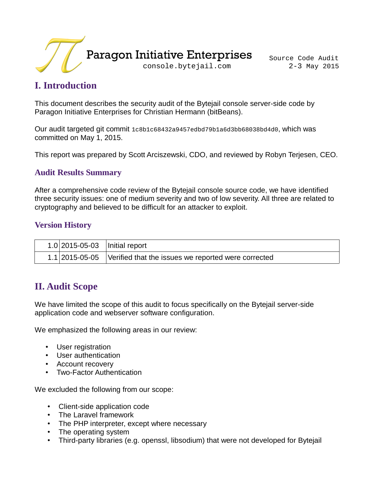

# **I. Introduction**

This document describes the security audit of the Bytejail console server-side code by Paragon Initiative Enterprises for Christian Hermann (bitBeans).

Our audit targeted git commit 1c8b1c68432a9457edbd79b1a6d3bb68038bd4d0, which was committed on May 1, 2015.

This report was prepared by Scott Arciszewski, CDO, and reviewed by Robyn Terjesen, CEO.

### **Audit Results Summary**

After a comprehensive code review of the Bytejail console source code, we have identified three security issues: one of medium severity and two of low severity. All three are related to cryptography and believed to be difficult for an attacker to exploit.

### **Version History**

| $1.0$  2015-05-03   Initial report |                                                                    |
|------------------------------------|--------------------------------------------------------------------|
|                                    | 1.1 2015-05-05 Verified that the issues we reported were corrected |

## **II. Audit Scope**

We have limited the scope of this audit to focus specifically on the Bytejail server-side application code and webserver software configuration.

We emphasized the following areas in our review:

- User registration
- User authentication
- Account recovery
- Two-Factor Authentication

We excluded the following from our scope:

- Client-side application code
- The Laravel framework
- The PHP interpreter, except where necessary
- The operating system
- Third-party libraries (e.g. openssl, libsodium) that were not developed for Bytejail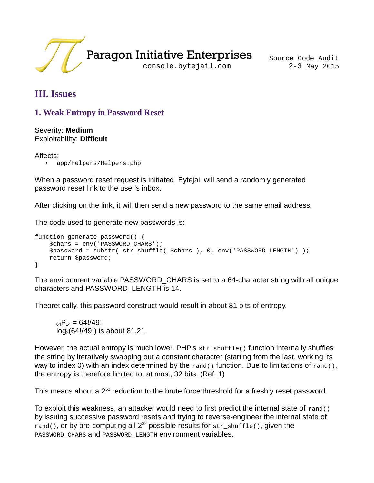

# **III. Issues**

## **1. Weak Entropy in Password Reset**

Severity: **Medium** Exploitability: **Difficult**

#### Affects:

• app/Helpers/Helpers.php

When a password reset request is initiated, Bytejail will send a randomly generated password reset link to the user's inbox.

After clicking on the link, it will then send a new password to the same email address.

The code used to generate new passwords is:

```
function generate_password() {
     $chars = env('PASSWORD_CHARS');
     $password = substr( str_shuffle( $chars ), 0, env('PASSWORD_LENGTH') );
     return $password;
}
```
The environment variable PASSWORD\_CHARS is set to a 64-character string with all unique characters and PASSWORD\_LENGTH is 14.

Theoretically, this password construct would result in about 81 bits of entropy.

 $_{64}P_{14} = 64!/49!$ log2(64!/49!) is about 81.21

However, the actual entropy is much lower. PHP's str\_shuffle() function internally shuffles the string by iteratively swapping out a constant character (starting from the last, working its way to index 0) with an index determined by the rand() function. Due to limitations of rand(), the entropy is therefore limited to, at most, 32 bits. (Ref. 1)

This means about a 2<sup>50</sup> reduction to the brute force threshold for a freshly reset password.

To exploit this weakness, an attacker would need to first predict the internal state of rand() by issuing successive password resets and trying to reverse-engineer the internal state of rand(), or by pre-computing all  $2^{32}$  possible results for str\_shuffle(), given the PASSWORD CHARS and PASSWORD LENGTH environment variables.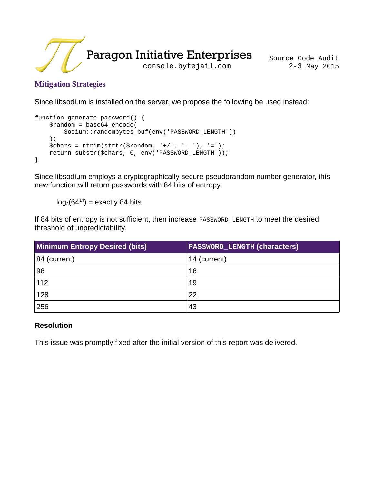

### **Mitigation Strategies**

Since libsodium is installed on the server, we propose the following be used instead:

```
function generate_password() {
     $random = base64_encode(
        Sodium::randombytes buf(env('PASSWORD LENGTH'))
    );
    \int_{0}^{\pi} \frac{1}{2} = rtrim(strtr($random, '+/', '-_'), '=');
     return substr($chars, 0, env('PASSWORD_LENGTH'));
}
```
Since libsodium employs a cryptographically secure pseudorandom number generator, this new function will return passwords with 84 bits of entropy.

 $log_2(64^{14})$  = exactly 84 bits

If 84 bits of entropy is not sufficient, then increase PASSWORD\_LENGTH to meet the desired threshold of unpredictability.

| <b>Minimum Entropy Desired (bits)</b> | <b>PASSWORD_LENGTH (characters)</b> |
|---------------------------------------|-------------------------------------|
| 84 (current)                          | 14 (current)                        |
| 96                                    | 16                                  |
| 112                                   | 19                                  |
| 128                                   | 22                                  |
| 256                                   | 43                                  |

### **Resolution**

This issue was promptly fixed after the initial version of this report was delivered.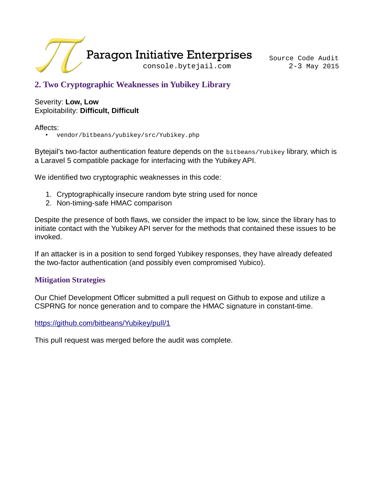

## **2. Two Cryptographic Weaknesses in Yubikey Library**

#### Severity: **Low, Low** Exploitability: **Difficult, Difficult**

Affects:

• vendor/bitbeans/yubikey/src/Yubikey.php

Bytejail's two-factor authentication feature depends on the bitbeans/Yubikey library, which is a Laravel 5 compatible package for interfacing with the Yubikey API.

We identified two cryptographic weaknesses in this code:

- 1. Cryptographically insecure random byte string used for nonce
- 2. Non-timing-safe HMAC comparison

Despite the presence of both flaws, we consider the impact to be low, since the library has to initiate contact with the Yubikey API server for the methods that contained these issues to be invoked.

If an attacker is in a position to send forged Yubikey responses, they have already defeated the two-factor authentication (and possibly even compromised Yubico).

### **Mitigation Strategies**

Our Chief Development Officer submitted a pull request on Github to expose and utilize a CSPRNG for nonce generation and to compare the HMAC signature in constant-time.

<https://github.com/bitbeans/Yubikey/pull/1>

This pull request was merged before the audit was complete.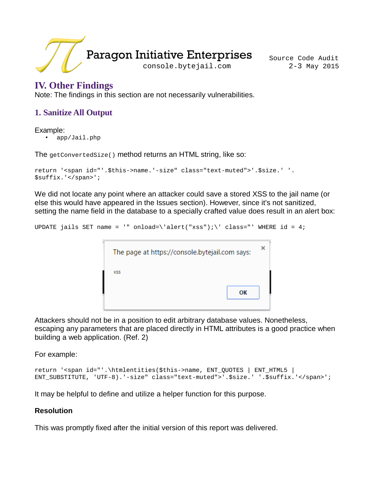

## **IV. Other Findings**

Note: The findings in this section are not necessarily vulnerabilities.

### **1. Sanitize All Output**

Example:

• app/Jail.php

The getConvertedSize() method returns an HTML string, like so:

```
return '<span id="'.$this->name.'-size" class="text-muted">'.$size.' '.
$suffix.'</span>';
```
We did not locate any point where an attacker could save a stored XSS to the jail name (or else this would have appeared in the Issues section). However, since it's not sanitized, setting the name field in the database to a specially crafted value does result in an alert box:

UPDATE jails SET name = '" onload=\'alert("xss");\' class="' WHERE id = 4;

| The page at https://console.bytejail.com says: |    |  |
|------------------------------------------------|----|--|
| <b>XSS</b>                                     |    |  |
|                                                | ок |  |
|                                                |    |  |

Attackers should not be in a position to edit arbitrary database values. Nonetheless, escaping any parameters that are placed directly in HTML attributes is a good practice when building a web application. (Ref. 2)

For example:

```
return '<span id="'.\htmlentities($this->name, ENT_QUOTES | ENT_HTML5 | 
ENT_SUBSTITUTE, 'UTF-8).'-size" class="text-muted">'.$size.' '.$suffix.'</span>';
```
It may be helpful to define and utilize a helper function for this purpose.

#### **Resolution**

This was promptly fixed after the initial version of this report was delivered.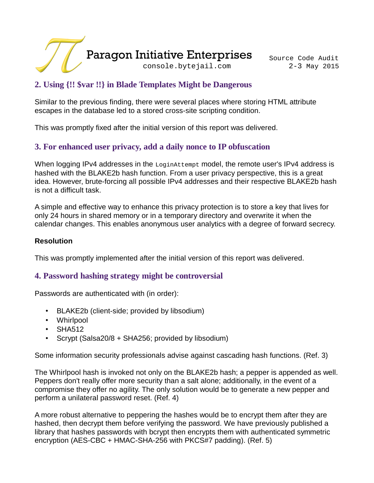

## **2. Using {!! \$var !!} in Blade Templates Might be Dangerous**

Similar to the previous finding, there were several places where storing HTML attribute escapes in the database led to a stored cross-site scripting condition.

This was promptly fixed after the initial version of this report was delivered.

## **3. For enhanced user privacy, add a daily nonce to IP obfuscation**

When logging IPv4 addresses in the LoginAttempt model, the remote user's IPv4 address is hashed with the BLAKE2b hash function. From a user privacy perspective, this is a great idea. However, brute-forcing all possible IPv4 addresses and their respective BLAKE2b hash is not a difficult task.

A simple and effective way to enhance this privacy protection is to store a key that lives for only 24 hours in shared memory or in a temporary directory and overwrite it when the calendar changes. This enables anonymous user analytics with a degree of forward secrecy.

#### **Resolution**

This was promptly implemented after the initial version of this report was delivered.

### **4. Password hashing strategy might be controversial**

Passwords are authenticated with (in order):

- BLAKE2b (client-side; provided by libsodium)
- Whirlpool
- SHA512
- Scrypt (Salsa20/8 + SHA256; provided by libsodium)

Some information security professionals advise against cascading hash functions. (Ref. 3)

The Whirlpool hash is invoked not only on the BLAKE2b hash; a pepper is appended as well. Peppers don't really offer more security than a salt alone; additionally, in the event of a compromise they offer no agility. The only solution would be to generate a new pepper and perform a unilateral password reset. (Ref. 4)

A more robust alternative to peppering the hashes would be to encrypt them after they are hashed, then decrypt them before verifying the password. We have previously published a library that hashes passwords with bcrypt then encrypts them with authenticated symmetric encryption (AES-CBC + HMAC-SHA-256 with PKCS#7 padding). (Ref. 5)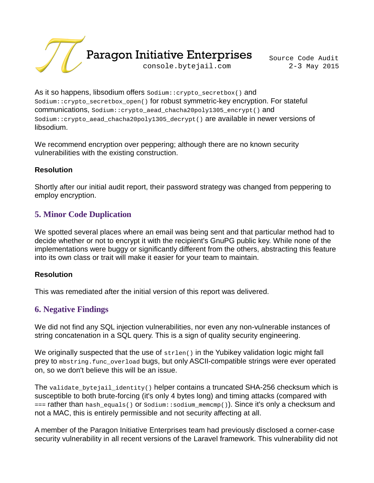

As it so happens, libsodium offers Sodium::crypto\_secretbox() and Sodium::crypto\_secretbox\_open() for robust symmetric-key encryption. For stateful communications, Sodium::crypto\_aead\_chacha20poly1305\_encrypt() and Sodium::crypto\_aead\_chacha20poly1305\_decrypt() are available in newer versions of libsodium.

We recommend encryption over peppering; although there are no known security vulnerabilities with the existing construction.

#### **Resolution**

Shortly after our initial audit report, their password strategy was changed from peppering to employ encryption.

### **5. Minor Code Duplication**

We spotted several places where an email was being sent and that particular method had to decide whether or not to encrypt it with the recipient's GnuPG public key. While none of the implementations were buggy or significantly different from the others, abstracting this feature into its own class or trait will make it easier for your team to maintain.

#### **Resolution**

This was remediated after the initial version of this report was delivered.

### **6. Negative Findings**

We did not find any SQL injection vulnerabilities, nor even any non-vulnerable instances of string concatenation in a SQL query. This is a sign of quality security engineering.

We originally suspected that the use of strlen() in the Yubikey validation logic might fall prey to mbstring.func\_overload bugs, but only ASCII-compatible strings were ever operated on, so we don't believe this will be an issue.

The validate\_bytejail\_identity() helper contains a truncated SHA-256 checksum which is susceptible to both brute-forcing (it's only 4 bytes long) and timing attacks (compared with === rather than hash\_equals() or Sodium::sodium\_memcmp()). Since it's only a checksum and not a MAC, this is entirely permissible and not security affecting at all.

A member of the Paragon Initiative Enterprises team had previously disclosed a corner-case security vulnerability in all recent versions of the Laravel framework. This vulnerability did not